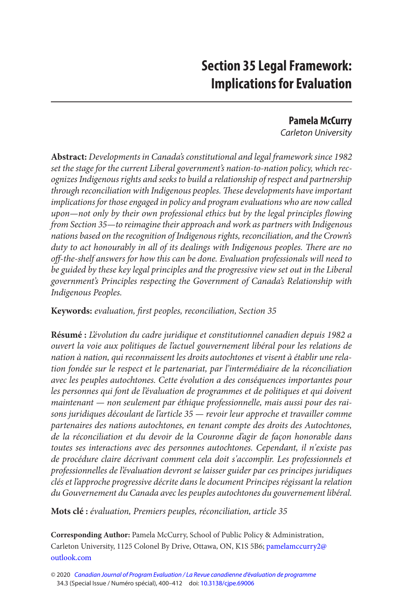# **Section 35 Legal Framework: Implications for Evaluation**

# **Pamela McCurry**

Carleton University

**Abstract:** Developments in Canada's constitutional and legal framework since 1982 set the stage for the current Liberal government's nation-to-nation policy, which recognizes Indigenous rights and seeks to build a relationship of respect and partnership through reconciliation with Indigenous peoples. These developments have important implications for those engaged in policy and program evaluations who are now called upon—not only by their own professional ethics but by the legal principles flowing from Section 35—to reimagine their approach and work as partners with Indigenous nations based on the recognition of Indigenous rights, reconciliation, and the Crown's duty to act honourably in all of its dealings with Indigenous peoples. There are no off-the-shelf answers for how this can be done. Evaluation professionals will need to be guided by these key legal principles and the progressive view set out in the Liberal government's Principles respecting the Government of Canada's Relationship with Indigenous Peoples.

**Keywords:** evaluation, first peoples, reconciliation, Section 35

**Résumé :** L'évolution du cadre juridique et constitutionnel canadien depuis 1982 a ouvert la voie aux politiques de l'actuel gouvernement libéral pour les relations de nation à nation, qui reconnaissent les droits autochtones et visent à établir une relation fondée sur le respect et le partenariat, par l'intermédiaire de la réconciliation avec les peuples autochtones. Cette évolution a des conséquences importantes pour les personnes qui font de l'évaluation de programmes et de politiques et qui doivent maintenant — non seulement par éthique professionnelle, mais aussi pour des raisons juridiques découlant de l'article 35 — revoir leur approche et travailler comme partenaires des nations autochtones, en tenant compte des droits des Autochtones, de la réconciliation et du devoir de la Couronne d'agir de façon honorable dans toutes ses interactions avec des personnes autochtones. Cependant, il n'existe pas de procédure claire décrivant comment cela doit s'accomplir. Les professionnels et professionnelles de l'évaluation devront se laisser guider par ces principes juridiques clés et l'approche progressive décrite dans le document Principes régissant la relation du Gouvernement du Canada avec les peuples autochtones du gouvernement libéral.

**Mots clé :** évaluation, Premiers peuples, réconciliation, article 35

**Corresponding Author:** Pamela McCurry, School of Public Policy & Administration, Carleton University, 1125 Colonel By Drive, Ottawa, ON, K1S 5B6; [pamelamccurry2@](mailto:pamelamccurry2@outlook.com)  [outlook.com](mailto:pamelamccurry2@outlook.com) 

<sup>© 2020</sup> [Canadian Journal of Program Evaluation / La Revue canadienne d'évaluation de programme](https://www.utpjournals.press/loi/cjpe)  34.3 (Special Issue / Numéro spécial), 400–412 doi: [10.3138/cjpe.69006](https://doi.org/10.3138/cjpe.69006)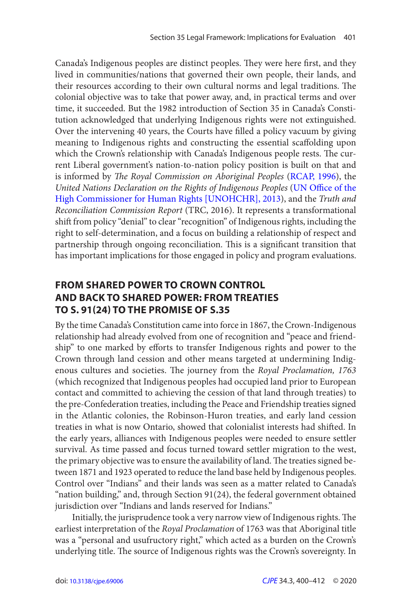<span id="page-1-0"></span>Canada's Indigenous peoples are distinct peoples. They were here first, and they lived in communities/nations that governed their own people, their lands, and their resources according to their own cultural norms and legal traditions. The colonial objective was to take that power away, and, in practical terms and over time, it succeeded. But the 1982 introduction of Section 35 in Canada's Constitution acknowledged that underlying Indigenous rights were not extinguished. Over the intervening 40 years, the Courts have filled a policy vacuum by giving meaning to Indigenous rights and constructing the essential scaffolding upon which the Crown's relationship with Canada's Indigenous people rests. The current Liberal government's nation-to-nation policy position is built on that and is informed by The Royal Commission on Aboriginal Peoples ([RCAP, 1996](#page-12-0)), the United Nations Declaration on the Rights of Indigenous Peoples (UN Office of the [High Commissioner for Human Rights \[UNOHCHR\], 2013\)](#page-12-0), and the Truth and Reconciliation Commission Report (TRC, 2016). It represents a transformational shift from policy "denial" to clear "recognition" of Indigenous rights, including the right to self-determination, and a focus on building a relationship of respect and partnership through ongoing reconciliation. This is a significant transition that has important implications for those engaged in policy and program evaluations.

# **FROM SHARED POWER TO CROWN CONTROL AND BACK TO SHARED POWER: FROM TREATIES TO S. 91(24) TO THE PROMISE OF S.35**

By the time Canada's Constitution came into force in 1867, the Crown - Indigenous relationship had already evolved from one of recognition and "peace and friendship" to one marked by efforts to transfer Indigenous rights and power to the Crown through land cession and other means targeted at undermining Indigenous cultures and societies. The journey from the Royal Proclamation, 1763 (which recognized that Indigenous peoples had occupied land prior to European contact and committed to achieving the cession of that land through treaties) to the pre-Confederation treaties, including the Peace and Friendship treaties signed in the Atlantic colonies, the Robinson-Huron treaties, and early land cession treaties in what is now Ontario, showed that colonialist interests had shifted. In the early years, alliances with Indigenous peoples were needed to ensure settler survival. As time passed and focus turned toward settler migration to the west, the primary objective was to ensure the availability of land. The treaties signed between 1871 and 1923 operated to reduce the land base held by Indigenous peoples. Control over "Indians" and their lands was seen as a matter related to Canada's "nation building," and, through Section 91(24), the federal government obtained jurisdiction over "Indians and lands reserved for Indians."

Initially, the jurisprudence took a very narrow view of Indigenous rights. The earliest interpretation of the Royal Proclamation of 1763 was that Aboriginal title was a "personal and usufructory right," which acted as a burden on the Crown's underlying title. The source of Indigenous rights was the Crown's sovereignty. In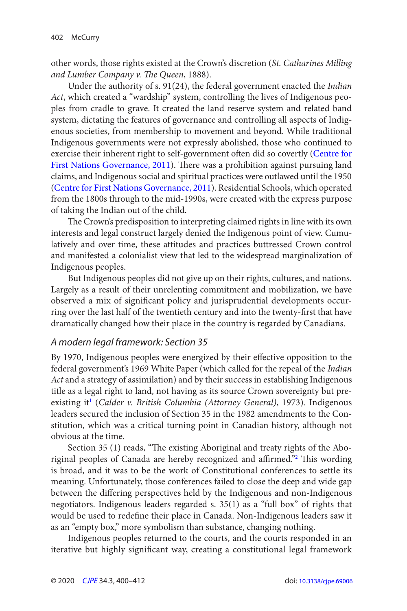<span id="page-2-0"></span>other words, those rights existed at the Crown's discretion (St. Catharines Milling and Lumber Company v. The Queen, 1888).

Under the authority of s. 91(24), the federal government enacted the Indian Act, which created a "wardship" system, controlling the lives of Indigenous peoples from cradle to grave. It created the land reserve system and related band system, dictating the features of governance and controlling all aspects of Indigenous societies, from membership to movement and beyond. While traditional Indigenous governments were not expressly abolished, those who continued to exercise their inherent right to self-government often did so covertly ([Centre for](#page-11-0) [First Nations Governance, 2011](#page-11-0)). There was a prohibition against pursuing land claims, and Indigenous social and spiritual practices were outlawed until the 1950 ([Centre for First Nations Governance, 2011](#page-11-0)). Residential Schools, which operated from the 1800s through to the mid-1990s, were created with the express purpose of taking the Indian out of the child.

 The Crown's predisposition to interpreting claimed rights in line with its own interests and legal construct largely denied the Indigenous point of view. Cumulatively and over time, these attitudes and practices buttressed Crown control and manifested a colonialist view that led to the widespread marginalization of Indigenous peoples.

But Indigenous peoples did not give up on their rights, cultures, and nations. Largely as a result of their unrelenting commitment and mobilization, we have observed a mix of significant policy and jurisprudential developments occurring over the last half of the twentieth century and into the twenty-first that have dramatically changed how their place in the country is regarded by Canadians.

## A modern legal framework: Section 35

By 1970, Indigenous peoples were energized by their effective opposition to the federal government's 1969 White Paper (which called for the repeal of the Indian Act and a strategy of assimilation) and by their success in establishing Indigenous title as a legal right to land, not having as its source Crown sovereignty but preexisting it<sup>1</sup> (Calder v. British Columbia (Attorney General), 1973). Indigenous leaders secured the inclusion of Section 35 in the 1982 amendments to the Constitution, which was a critical turning point in Canadian history, although not obvious at the time.

Section 35 (1) reads, "The existing Aboriginal and treaty rights of the Aboriginal peoples of Canada are hereby recognized and affirmed."<sup>2</sup> This wording is broad, and it was to be the work of Constitutional conferences to settle its meaning. Unfortunately, those conferences failed to close the deep and wide gap between the differing perspectives held by the Indigenous and non-Indigenous negotiators. Indigenous leaders regarded s. 35(1) as a "full box" of rights that would be used to redefine their place in Canada. Non-Indigenous leaders saw it as an "empty box," more symbolism than substance, changing nothing.

Indigenous peoples returned to the courts, and the courts responded in an iterative but highly significant way, creating a constitutional legal framework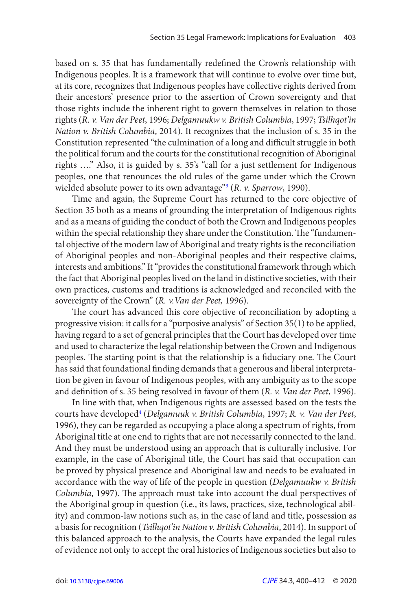<span id="page-3-0"></span>based on s. 35 that has fundamentally redefined the Crown's relationship with Indigenous peoples. It is a framework that will continue to evolve over time but, at its core, recognizes that Indigenous peoples have collective rights derived from their ancestors' presence prior to the assertion of Crown sovereignty and that those rights include the inherent right to govern themselves in relation to those rights (R. v. Van der Peet, 1996; Delgamuukw v. British Columbia, 1997; Tsilhqot'in Nation v. British Columbia, 2014). It recognizes that the inclusion of s. 35 in the Constitution represented "the culmination of a long and difficult struggle in both the political forum and the courts for the constitutional recognition of Aboriginal rights …." Also, it is guided by s. 35's "call for a just settlement for Indigenous peoples, one that renounces the old rules of the game under which the Crown wielded absolute power to its own advantage"<sup>3</sup> (R. v. Sparrow, 1990).

Time and again, the Supreme Court has returned to the core objective of Section 35 both as a means of grounding the interpretation of Indigenous rights and as a means of guiding the conduct of both the Crown and Indigenous peoples within the special relationship they share under the Constitution. The "fundamental objective of the modern law of Aboriginal and treaty rights is the reconciliation of Aboriginal peoples and non-Aboriginal peoples and their respective claims, interests and ambitions." It "provides the constitutional framework through which the fact that Aboriginal peoples lived on the land in distinctive societies, with their own practices, customs and traditions is acknowledged and reconciled with the sovereignty of the Crown" (R. v.Van der Peet, 1996).

 The court has advanced this core objective of reconciliation by adopting a progressive vision: it calls for a "purposive analysis" of Section 35(1) to be applied, having regard to a set of general principles that the Court has developed over time and used to characterize the legal relationship between the Crown and Indigenous peoples. The starting point is that the relationship is a fiduciary one. The Court has said that foundational finding demands that a generous and liberal interpretation be given in favour of Indigenous peoples, with any ambiguity as to the scope and definition of s. 35 being resolved in favour of them  $(R. v. Van der Peet, 1996)$ .

In line with that, when Indigenous rights are assessed based on the tests the courts have developed<sup>[4](#page-10-0)</sup> (Delgamuuk v. British Columbia, 1997; R. v. Van der Peet, 1996 ), they can be regarded as occupying a place along a spectrum of rights, from Aboriginal title at one end to rights that are not necessarily connected to the land. And they must be understood using an approach that is culturally inclusive. For example, in the case of Aboriginal title, the Court has said that occupation can be proved by physical presence and Aboriginal law and needs to be evaluated in accordance with the way of life of the people in question (Delgamuukw v. British Columbia, 1997). The approach must take into account the dual perspectives of the Aboriginal group in question (i.e., its laws, practices, size, technological ability) and common-law notions such as, in the case of land and title, possession as a basis for recognition (Tsilhqot'in Nation v. British Columbia, 2014). In support of this balanced approach to the analysis, the Courts have expanded the legal rules of evidence not only to accept the oral histories of Indigenous societies but also to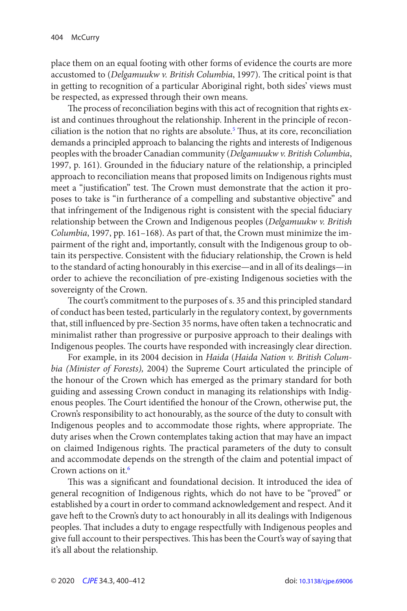<span id="page-4-0"></span>place them on an equal footing with other forms of evidence the courts are more accustomed to (Delgamuukw v. British Columbia, 1997). The critical point is that in getting to recognition of a particular Aboriginal right, both sides' views must be respected, as expressed through their own means.

 The process of reconciliation begins with this act of recognition that rights exist and continues throughout the relationship. Inherent in the principle of reconciliation is the notion that no rights are absolute.<sup>5</sup> Thus, at its core, reconciliation demands a principled approach to balancing the rights and interests of Indigenous peoples with the broader Canadian community ( Delgamuukw v. British Columbia, 1997, p. 161). Grounded in the fiduciary nature of the relationship, a principled approach to reconciliation means that proposed limits on Indigenous rights must meet a "justification" test. The Crown must demonstrate that the action it proposes to take is "in furtherance of a compelling and substantive objective" and that infringement of the Indigenous right is consistent with the special fiduciary relationship between the Crown and Indigenous peoples (Delgamuukw v. British Columbia, 1997, pp. 161-168). As part of that, the Crown must minimize the impairment of the right and, importantly, consult with the Indigenous group to obtain its perspective. Consistent with the fiduciary relationship, the Crown is held to the standard of acting honourably in this exercise—and in all of its dealings—in order to achieve the reconciliation of pre-existing Indigenous societies with the sovereignty of the Crown.

 The court's commitment to the purposes of s. 35 and this principled standard of conduct has been tested, particularly in the regulatory context, by governments that, still influenced by pre-Section 35 norms, have often taken a technocratic and minimalist rather than progressive or purposive approach to their dealings with Indigenous peoples. The courts have responded with increasingly clear direction.

For example, in its 2004 decision in Haida (Haida Nation v. British Columbia (Minister of Forests), 2004) the Supreme Court articulated the principle of the honour of the Crown which has emerged as the primary standard for both guiding and assessing Crown conduct in managing its relationships with Indigenous peoples. The Court identified the honour of the Crown, otherwise put, the Crown's responsibility to act honourably, as the source of the duty to consult with Indigenous peoples and to accommodate those rights, where appropriate. The duty arises when the Crown contemplates taking action that may have an impact on claimed Indigenous rights. The practical parameters of the duty to consult and accommodate depends on the strength of the claim and potential impact of Crown actions on it[.6](#page-10-0)

 This was a significant and foundational decision. It introduced the idea of general recognition of Indigenous rights, which do not have to be "proved" or established by a court in order to command acknowledgement and respect. And it gave heft to the Crown's duty to act honourably in all its dealings with Indigenous peoples. That includes a duty to engage respectfully with Indigenous peoples and give full account to their perspectives. This has been the Court's way of saying that it's all about the relationship.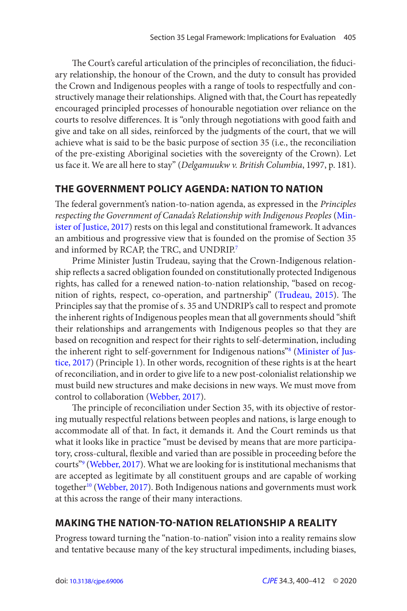<span id="page-5-0"></span>The Court's careful articulation of the principles of reconciliation, the fiduciary relationship, the honour of the Crown, and the duty to consult has provided the Crown and Indigenous peoples with a range of tools to respectfully and constructively manage their relationships. Aligned with that, the Court has repeatedly encouraged principled processes of honourable negotiation over reliance on the courts to resolve differences. It is "only through negotiations with good faith and give and take on all sides, reinforced by the judgments of the court, that we will achieve what is said to be the basic purpose of section 35 (i.e., the reconciliation of the pre-existing Aboriginal societies with the sovereignty of the Crown). Let us face it. We are all here to stay" (Delgamuukw v. British Columbia, 1997, p. 181).

## **THE GOVERNMENT POLICY AGENDA: NATION TO NATION**

 The federal government's nation-to-nation agenda, as expressed in the Principles respecting the Government of Canada's Relationship with Indigenous Peoples ([Min](#page-12-0)[ister of Justice, 2017](#page-12-0)) rests on this legal and constitutional framework. It advances an ambitious and progressive view that is founded on the promise of Section 35 and informed by RCAP, the TRC, and UNDRIP.<sup>7</sup>

Prime Minister Justin Trudeau, saying that the Crown - Indigenous relationship reflects a sacred obligation founded on constitutionally protected Indigenous rights, has called for a renewed nation-to-nation relationship, "based on recog-nition of rights, respect, co-operation, and partnership" ([Trudeau, 2015](#page-12-0)). The Principles say that the promise of s. 35 and UNDRIP's call to respect and promote the inherent rights of Indigenous peoples mean that all governments should "shift their relationships and arrangements with Indigenous peoples so that they are based on recognition and respect for their rights to self-determination, including the inherent right to self-government for Indigenous nations"<sup>8</sup> ([Minister of Jus](#page-12-0)[tice, 2017\)](#page-12-0) (Principle 1). In other words, recognition of these rights is at the heart of reconciliation, and in order to give life to a new post-colonialist relationship we must build new structures and make decisions in new ways. We must move from control to collaboration [\(Webber, 2017](#page-12-0)).

 The principle of reconciliation under Section 35, with its objective of restoring mutually respectful relations between peoples and nations, is large enough to accommodate all of that. In fact, it demands it. And the Court reminds us that what it looks like in practice "must be devised by means that are more participatory, cross-cultural, flexible and varied than are possible in proceeding before the courts"<sup>9</sup> ([Webber, 2017](#page-12-0)). What we are looking for is institutional mechanisms that are accepted as legitimate by all constituent groups and are capable of working together<sup>[10](#page-11-0)</sup> ([Webber, 2017](#page-12-0)). Both Indigenous nations and governments must work at this across the range of their many interactions.

## **MAKING THE NATION-TO-NATION RELATIONSHIP A REALITY**

Progress toward turning the "nation-to-nation" vision into a reality remains slow and tentative because many of the key structural impediments, including biases,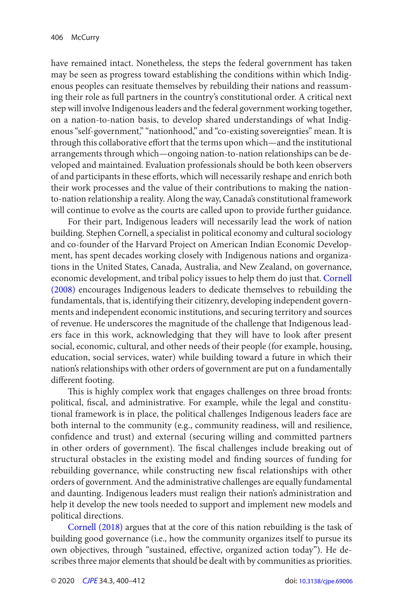<span id="page-6-0"></span>have remained intact. Nonetheless, the steps the federal government has taken may be seen as progress toward establishing the conditions within which Indigenous peoples can resituate themselves by rebuilding their nations and reassuming their role as full partners in the country's constitutional order. A critical next step will involve Indigenous leaders and the federal government working together, on a nation-to-nation basis, to develop shared understandings of what Indigenous "self-government," "nationhood," and "co-existing sovereignties" mean. It is through this collaborative effort that the terms upon which—and the institutional arrangements through which—ongoing nation-to-nation relationships can be developed and maintained. Evaluation professionals should be both keen observers of and participants in these efforts, which will necessarily reshape and enrich both their work processes and the value of their contributions to making the nationto-nation relationship a reality. Along the way, Canada's constitutional framework will continue to evolve as the courts are called upon to provide further guidance.

For their part, Indigenous leaders will necessarily lead the work of nation building. Stephen Cornell, a specialist in political economy and cultural sociology and co-founder of the Harvard Project on American Indian Economic Development, has spent decades working closely with Indigenous nations and organizations in the United States, Canada, Australia, and New Zealand, on governance, economic development, and tribal policy issues to help them do just that. [Cornell](#page-11-0)  (2008) encourages Indigenous leaders to dedicate themselves to rebuilding the fundamentals, that is, identifying their citizenry, developing independent governments and independent economic institutions, and securing territory and sources of revenue. He underscores the magnitude of the challenge that Indigenous leaders face in this work, acknowledging that they will have to look after present social, economic, cultural, and other needs of their people (for example, housing, education, social services, water) while building toward a future in which their nation's relationships with other orders of government are put on a fundamentally different footing.

 This is highly complex work that engages challenges on three broad fronts: political, fiscal, and administrative. For example, while the legal and constitutional framework is in place, the political challenges Indigenous leaders face are both internal to the community (e.g., community readiness, will and resilience, confidence and trust) and external (securing willing and committed partners in other orders of government). The fiscal challenges include breaking out of structural obstacles in the existing model and finding sources of funding for rebuilding governance, while constructing new fiscal relationships with other orders of government. And the administrative challenges are equally fundamental and daunting. Indigenous leaders must realign their nation's administration and help it develop the new tools needed to support and implement new models and political directions.

Cornell (2018) argues that at the core of this nation rebuilding is the task of building good governance (i.e., how the community organizes itself to pursue its own objectives, through "sustained, effective, organized action today"). He describes three major elements that should be dealt with by communities as priorities.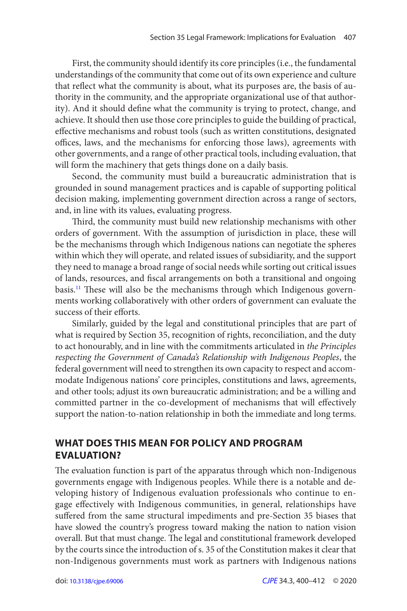<span id="page-7-0"></span>First, the community should identify its core principles (i.e., the fundamental understandings of the community that come out of its own experience and culture that reflect what the community is about, what its purposes are, the basis of authority in the community, and the appropriate organizational use of that authority). And it should define what the community is trying to protect, change, and achieve. It should then use those core principles to guide the building of practical, effective mechanisms and robust tools (such as written constitutions, designated offices, laws, and the mechanisms for enforcing those laws), agreements with other governments, and a range of other practical tools , including evaluation , that will form the machinery that gets things done on a daily basis.

Second, the community must build a bureaucratic administration that is grounded in sound management practices and is capable of supporting political decision making, implementing government direction across a range of sectors, and, in line with its values, evaluating progress.

 Third, the community must build new relationship mechanisms with other orders of government. With the assumption of jurisdiction in place, these will be the mechanisms through which Indigenous nations can negotiate the spheres within which they will operate, and related issues of subsidiarity, and the support they need to manage a broad range of social needs while sorting out critical issues of lands, resources, and fiscal arrangements on both a transitional and ongoing basis.<sup>[11](#page-11-0)</sup> These will also be the mechanisms through which Indigenous governments working collaboratively with other orders of government can evaluate the success of their efforts.

Similarly, guided by the legal and constitutional principles that are part of what is required by Section 35, recognition of rights, reconciliation, and the duty to act honourably, and in line with the commitments articulated in the Principles respecting the Government of Canada's Relationship with Indigenous Peoples, the federal government will need to strengthen its own capacity to respect and accommodate Indigenous nations' core principles, constitutions and laws, agreements, and other tools; adjust its own bureaucratic administration; and be a willing and committed partner in the co-development of mechanisms that will effectively support the nation-to-nation relationship in both the immediate and long terms.

## **WHAT DOES THIS MEAN FOR POLICY AND PROGRAM EVALUATION?**

 The evaluation function is part of the apparatus through which non-Indigenous governments engage with Indigenous peoples. While there is a notable and developing history of Indigenous evaluation professionals who continue to engage effectively with Indigenous communities, in general, relationships have suffered from the same structural impediments and pre-Section 35 biases that have slowed the country's progress toward making the nation to nation vision overall. But that must change. The legal and constitutional framework developed by the courts since the introduction of s. 35 of the Constitution makes it clear that non-Indigenous governments must work as partners with Indigenous nations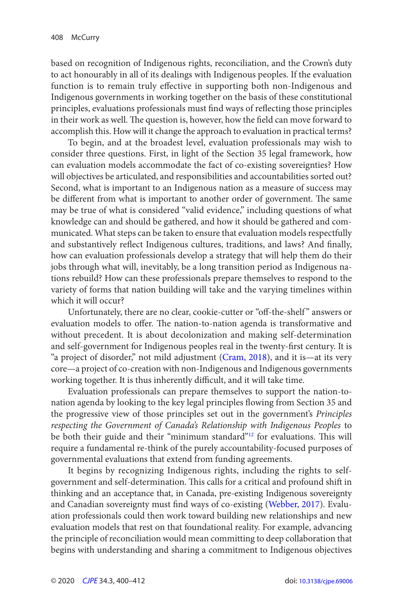<span id="page-8-0"></span>based on recognition of Indigenous rights, reconciliation, and the Crown's duty to act honourably in all of its dealings with Indigenous peoples. If the evaluation function is to remain truly effective in supporting both non-Indigenous and Indigenous governments in working together on the basis of these constitutional principles, evaluations professionals must find ways of reflecting those principles in their work as well. The question is, however, how the field can move forward to accomplish this. How will it change the approach to evaluation in practical terms?

To begin, and at the broadest level, evaluation professionals may wish to consider three questions. First, in light of the Section 35 legal framework, how can evaluation models accommodate the fact of co-existing sovereignties? How will objectives be articulated, and responsibilities and accountabilities sorted out? Second, what is important to an Indigenous nation as a measure of success may be different from what is important to another order of government. The same may be true of what is considered "valid evidence," including questions of what knowledge can and should be gathered, and how it should be gathered and communicated. What steps can be taken to ensure that evaluation models respectfully and substantively reflect Indigenous cultures, traditions, and laws? And finally, how can evaluation professionals develop a strategy that will help them do their jobs through what will, inevitably, be a long transition period as Indigenous nations rebuild? How can these professionals prepare themselves to respond to the variety of forms that nation building will take and the varying timelines within which it will occur?

Unfortunately, there are no clear, cookie-cutter or "off-the-shelf" answers or evaluation models to offer. The nation-to-nation agenda is transformative and without precedent. It is about decolonization and making self-determination and self-government for Indigenous peoples real in the twenty-first century. It is "a project of disorder," not mild adjustment ([Cram, 2018](#page-12-0)), and it is—at its very core—a project of co-creation with non-Indigenous and Indigenous governments working together. It is thus inherently difficult, and it will take time.

Evaluation professionals can prepare themselves to support the nation-tonation agenda by looking to the key legal principles flowing from Section 35 and the progressive view of those principles set out in the government's Principles respecting the Government of Canada's Relationship with Indigenous Peoples to be both their guide and their "minimum standard"<sup>[12](#page-11-0)</sup> for evaluations. This will require a fundamental re-think of the purely accountability-focused purposes of governmental evaluations that extend from funding agreements.

It begins by recognizing Indigenous rights, including the rights to selfgovernment and self-determination. This calls for a critical and profound shift in thinking and an acceptance that, in Canada, pre-existing Indigenous sovereignty and Canadian sovereignty must find ways of co-existing ([Webber, 2017](#page-12-0)). Evaluation professionals could then work toward building new relationships and new evaluation models that rest on that foundational reality. For example, advancing the principle of reconciliation would mean committing to deep collaboration that begins with understanding and sharing a commitment to Indigenous objectives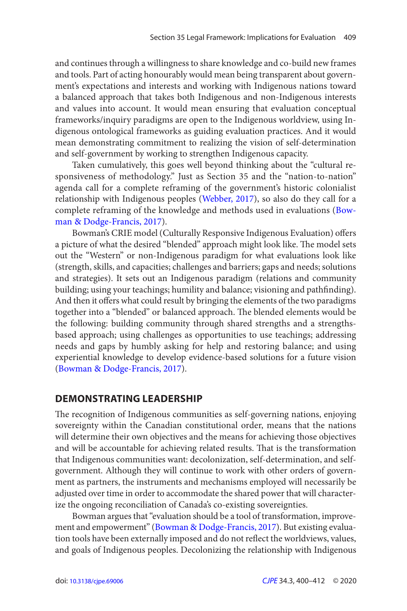<span id="page-9-0"></span>and continues through a willingness to share knowledge and co-build new frames and tools. Part of acting honourably would mean being transparent about government's expectations and interests and working with Indigenous nations toward a balanced approach that takes both Indigenous and non-Indigenous interests and values into account. It would mean ensuring that evaluation conceptual frameworks/inquiry paradigms are open to the Indigenous worldview, using Indigenous ontological frameworks as guiding evaluation practices. And it would mean demonstrating commitment to realizing the vision of self-determination and self-government by working to strengthen Indigenous capacity.

Taken cumulatively, this goes well beyond thinking about the "cultural responsiveness of methodology." Just as Section 35 and the "nation-to-nation" agenda call for a complete reframing of the government's historic colonialist relationship with Indigenous peoples [\(Webber, 2017](#page-12-0)), so also do they call for a complete reframing of the knowledge and methods used in evaluations ([Bow](#page-11-0)[man & Dodge-Francis, 2017](#page-11-0)).

Bowman's CRIE model (Culturally Responsive Indigenous Evaluation) offers a picture of what the desired "blended" approach might look like. The model sets out the "Western" or non-Indigenous paradigm for what evaluations look like (strength, skills, and capacities; challenges and barriers; gaps and needs; solutions and strategies). It sets out an Indigenous paradigm (relations and community building; using your teachings; humility and balance; visioning and pathfinding). And then it offers what could result by bringing the elements of the two paradigms together into a "blended" or balanced approach. The blended elements would be the following: building community through shared strengths and a strengthsbased approach; using challenges as opportunities to use teachings; addressing needs and gaps by humbly asking for help and restoring balance; and using experiential knowledge to develop evidence-based solutions for a future vision ([Bowman & Dodge-Francis, 2017](#page-11-0)).

## **DEMONSTRATING LEADERSHIP**

 The recognition of Indigenous communities as self-governing nations, enjoying sovereignty within the Canadian constitutional order, means that the nations will determine their own objectives and the means for achieving those objectives and will be accountable for achieving related results. That is the transformation that Indigenous communities want: decolonization, self-determination, and selfgovernment. Although they will continue to work with other orders of government as partners, the instruments and mechanisms employed will necessarily be adjusted over time in order to accommodate the shared power that will characterize the ongoing reconciliation of Canada's co-existing sovereignties.

Bowman argues that "evaluation should be a tool of transformation, improvement and empowerment" ([Bowman & Dodge-Francis, 2017](#page-11-0)). But existing evaluation tools have been externally imposed and do not reflect the worldviews, values, and goals of Indigenous peoples. Decolonizing the relationship with Indigenous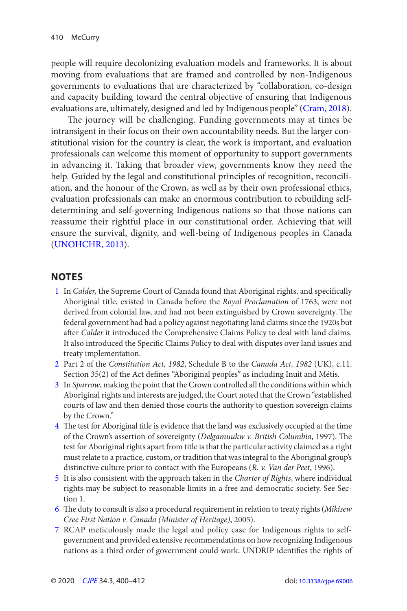<span id="page-10-0"></span>people will require decolonizing evaluation models and frameworks. It is about moving from evaluations that are framed and controlled by non-Indigenous governments to evaluations that are characterized by "collaboration, co-design and capacity building toward the central objective of ensuring that Indigenous evaluations are, ultimately, designed and led by Indigenous people" ([Cram, 2018](#page-12-0)).

 The journey will be challenging. Funding governments may at times be intransigent in their focus on their own accountability needs. But the larger constitutional vision for the country is clear, the work is important, and evaluation professionals can welcome this moment of opportunity to support governments in advancing it. Taking that broader view, governments know they need the help. Guided by the legal and constitutional principles of recognition, reconciliation, and the honour of the Crown, as well as by their own professional ethics, evaluation professionals can make an enormous contribution to rebuilding selfdetermining and self-governing Indigenous nations so that those nations can reassume their rightful place in our constitutional order. Achieving that will ensure the survival, dignity, and well-being of Indigenous peoples in Canada (UNOHCHR, 2013).

## **NOTES**

- [1](#page-2-0) In Calder, the Supreme Court of Canada found that Aboriginal rights, and specifically Aboriginal title, existed in Canada before the Royal Proclamation of 1763, were not derived from colonial law, and had not been extinguished by Crown sovereignty. The federal government had had a policy against negotiating land claims since the 1920s but after Calder it introduced the Comprehensive Claims Policy to deal with land claims. It also introduced the Specific Claims Policy to deal with disputes over land issues and treaty implementation.
- [2](#page-2-0) Part 2 of the Constitution Act, 1982, Schedule B to the Canada Act, 1982 (UK), c.11. Section 35(2) of the Act defines "Aboriginal peoples" as including Inuit and Métis.
- [3](#page-3-0) In Sparrow, making the point that the Crown controlled all the conditions within which Aboriginal rights and interests are judged, the Court noted that the Crown "established courts of law and then denied those courts the authority to question sovereign claims by the Crown."
- 4 The test for Aboriginal title is evidence that the land was exclusively occupied at the time of the Crown's assertion of sovereignty (Delgamuukw v. British Columbia, 1997). The test for Aboriginal rights apart from title is that the particular activity claimed as a right must relate to a practice, custom, or tradition that was integral to the Aboriginal group's distinctive culture prior to contact with the Europeans  $(R. v. Van der Peet, 1996)$ .
- [5](#page-4-0) It is also consistent with the approach taken in the Charter of Rights, where individual rights may be subject to reasonable limits in a free and democratic society. See Section 1.
- $6$  The duty to consult is also a procedural requirement in relation to treaty rights (Mikisew Cree First Nation v. Canada (Minister of Heritage), 2005).
- [7](#page-5-0) RCAP meticulously made the legal and policy case for Indigenous rights to selfgovernment and provided extensive recommendations on how recognizing Indigenous nations as a third order of government could work. UNDRIP identifies the rights of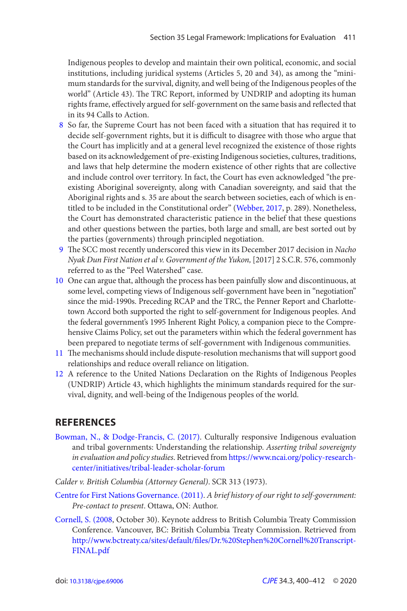<span id="page-11-0"></span>Indigenous peoples to develop and maintain their own political, economic, and social institutions, including juridical systems (Articles 5, 20 and 34), as among the "minimum standards for the survival, dignity, and well being of the Indigenous peoples of the world" (Article 43). The TRC Report, informed by UNDRIP and adopting its human rights frame, effectively argued for self-government on the same basis and reflected that in its 94 Calls to Action.

- [8](#page-5-0)  So far, the Supreme Court has not been faced with a situation that has required it to decide self-government rights, but it is difficult to disagree with those who argue that the Court has implicitly and at a general level recognized the existence of those rights based on its acknowledgement of pre-existing Indigenous societies, cultures, traditions, and laws that help determine the modern existence of other rights that are collective and include control over territory. In fact, the Court has even acknowledged "the preexisting Aboriginal sovereignty, along with Canadian sovereignty, and said that the Aboriginal rights and s. 35 are about the search between societies, each of which is entitled to be included in the Constitutional order" ([Webber, 2017](#page-12-0), p. 289). Nonetheless, the Court has demonstrated characteristic patience in the belief that these questions and other questions between the parties, both large and small, are best sorted out by the parties (governments) through principled negotiation.
- 9 The SCC most recently underscored this view in its December 2017 decision in Nacho Nyak Dun First Nation et al v. Government of the Yukon, [2017] 2 S.C.R. 576, commonly referred to as the "Peel Watershed" case.
- [10](#page-5-0)  One can argue that, although the process has been painfully slow and discontinuous, at some level, competing views of Indigenous self-government have been in "negotiation" since the mid-1990s. Preceding RCAP and the TRC, the Penner Report and Charlottetown Accord both supported the right to self-government for Indigenous peoples. And the federal government's 1995 Inherent Right Policy, a companion piece to the Comprehensive Claims Policy, set out the parameters within which the federal government has been prepared to negotiate terms of self-government with Indigenous communities.
- [11](#page-7-0) The mechanisms should include dispute-resolution mechanisms that will support good relationships and reduce overall reliance on litigation.
- [12](#page-8-0)  A reference to the United Nations Declaration on the Rights of Indigenous Peoples (UNDRIP) Article 43, which highlights the minimum standards required for the survival, dignity, and well-being of the Indigenous peoples of the world.

## **REFERENCES**

- Bowman, N., & Dodge-Francis, C. (2017). Culturally responsive Indigenous evaluation and tribal governments: Understanding the relationship. Asserting tribal sovereignty in evaluation and policy studies. Retrieved from [https://www.ncai.org/policy-research](https://www.ncai.org/policy-research-center/initiatives/tribal-leader-scholar-forum)[center/initiatives/tribal-leader-scholar-forum](https://www.ncai.org/policy-research-center/initiatives/tribal-leader-scholar-forum)
- Calder v. British Columbia (Attorney General). SCR 313 (1973) .
- [Centre for First Nations Governance. \( 2011 \)](#page-2-0). A brief history of our right to self-government: Pre-contact to present. Ottawa, ON: Author.
- Cornell, S. (2008, October 30). Keynote address to British Columbia Treaty Commission Conference. Vancouver, BC: British Columbia Treaty Commission. Retrieved from [http://www.bctreaty.ca/sites/default/fi les/Dr.%20Stephen%20Cornell%20Transcript-](http://www.bctreaty.ca/sites/default/files/Dr.%20Stephen%20Cornell%20Transcript-FINAL.pdf)[FINAL.pdf](http://www.bctreaty.ca/sites/default/files/Dr.%20Stephen%20Cornell%20Transcript-FINAL.pdf)